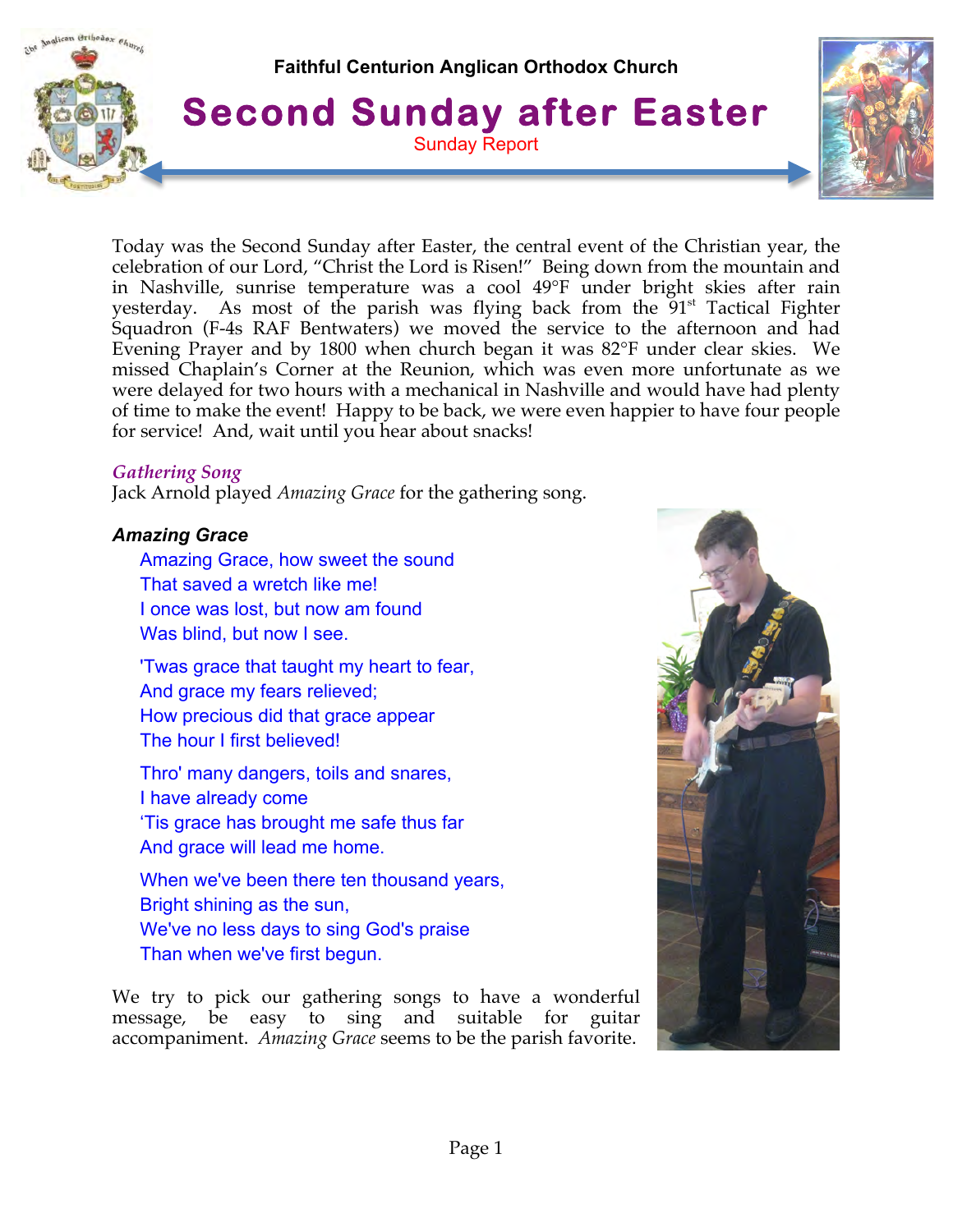

Today was the Second Sunday after Easter, the central event of the Christian year, the celebration of our Lord, "Christ the Lord is Risen!" Being down from the mountain and in Nashville, sunrise temperature was a cool 49°F under bright skies after rain yesterday. As most of the parish was flying back from the  $91<sup>st</sup>$  Tactical Fighter Squadron (F-4s RAF Bentwaters) we moved the service to the afternoon and had Evening Prayer and by 1800 when church began it was 82°F under clear skies. We missed Chaplain's Corner at the Reunion, which was even more unfortunate as we were delayed for two hours with a mechanical in Nashville and would have had plenty of time to make the event! Happy to be back, we were even happier to have four people for service! And, wait until you hear about snacks!

### *Gathering Song*

Jack Arnold played *Amazing Grace* for the gathering song.

#### *Amazing Grace*

Amazing Grace, how sweet the sound That saved a wretch like me! I once was lost, but now am found Was blind, but now I see.

'Twas grace that taught my heart to fear, And grace my fears relieved; How precious did that grace appear The hour I first believed!

Thro' many dangers, toils and snares, I have already come 'Tis grace has brought me safe thus far And grace will lead me home.

When we've been there ten thousand years, Bright shining as the sun, We've no less days to sing God's praise Than when we've first begun.

We try to pick our gathering songs to have a wonderful message, be easy to sing and suitable for guitar accompaniment. *Amazing Grace* seems to be the parish favorite.

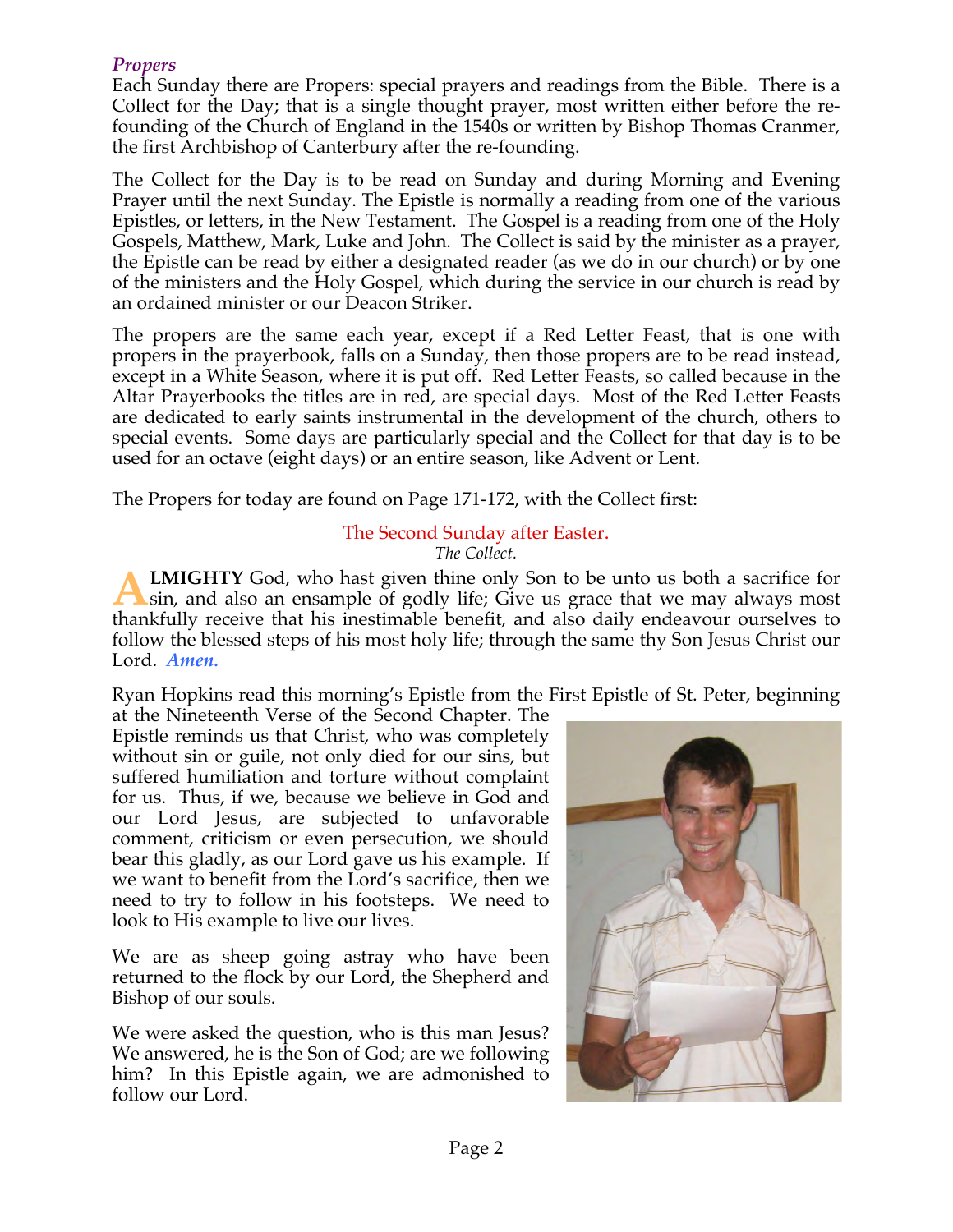# *Propers*

Each Sunday there are Propers: special prayers and readings from the Bible. There is a Collect for the Day; that is a single thought prayer, most written either before the refounding of the Church of England in the 1540s or written by Bishop Thomas Cranmer, the first Archbishop of Canterbury after the re-founding.

The Collect for the Day is to be read on Sunday and during Morning and Evening Prayer until the next Sunday. The Epistle is normally a reading from one of the various Epistles, or letters, in the New Testament. The Gospel is a reading from one of the Holy Gospels, Matthew, Mark, Luke and John. The Collect is said by the minister as a prayer, the Epistle can be read by either a designated reader (as we do in our church) or by one of the ministers and the Holy Gospel, which during the service in our church is read by an ordained minister or our Deacon Striker.

The propers are the same each year, except if a Red Letter Feast, that is one with propers in the prayerbook, falls on a Sunday, then those propers are to be read instead, except in a White Season, where it is put off. Red Letter Feasts, so called because in the Altar Prayerbooks the titles are in red, are special days. Most of the Red Letter Feasts are dedicated to early saints instrumental in the development of the church, others to special events. Some days are particularly special and the Collect for that day is to be used for an octave (eight days) or an entire season, like Advent or Lent.

The Propers for today are found on Page 171-172, with the Collect first:

#### The Second Sunday after Easter. *The Collect.*

**LMIGHTY** God, who hast given thine only Son to be unto us both a sacrifice for sin, and also an ensample of godly life; Give us grace that we may always most thankfully receive that his inestimable benefit, and also daily endeavour ourselves to follow the blessed steps of his most holy life; through the same thy Son Jesus Christ our Lord. *Amen.* **A**

Ryan Hopkins read this morning's Epistle from the First Epistle of St. Peter, beginning

at the Nineteenth Verse of the Second Chapter. The Epistle reminds us that Christ, who was completely without sin or guile, not only died for our sins, but suffered humiliation and torture without complaint for us. Thus, if we, because we believe in God and our Lord Jesus, are subjected to unfavorable comment, criticism or even persecution, we should bear this gladly, as our Lord gave us his example. If we want to benefit from the Lord's sacrifice, then we need to try to follow in his footsteps. We need to look to His example to live our lives.

We are as sheep going astray who have been returned to the flock by our Lord, the Shepherd and Bishop of our souls.

We were asked the question, who is this man Jesus? We answered, he is the Son of God; are we following him? In this Epistle again, we are admonished to follow our Lord.

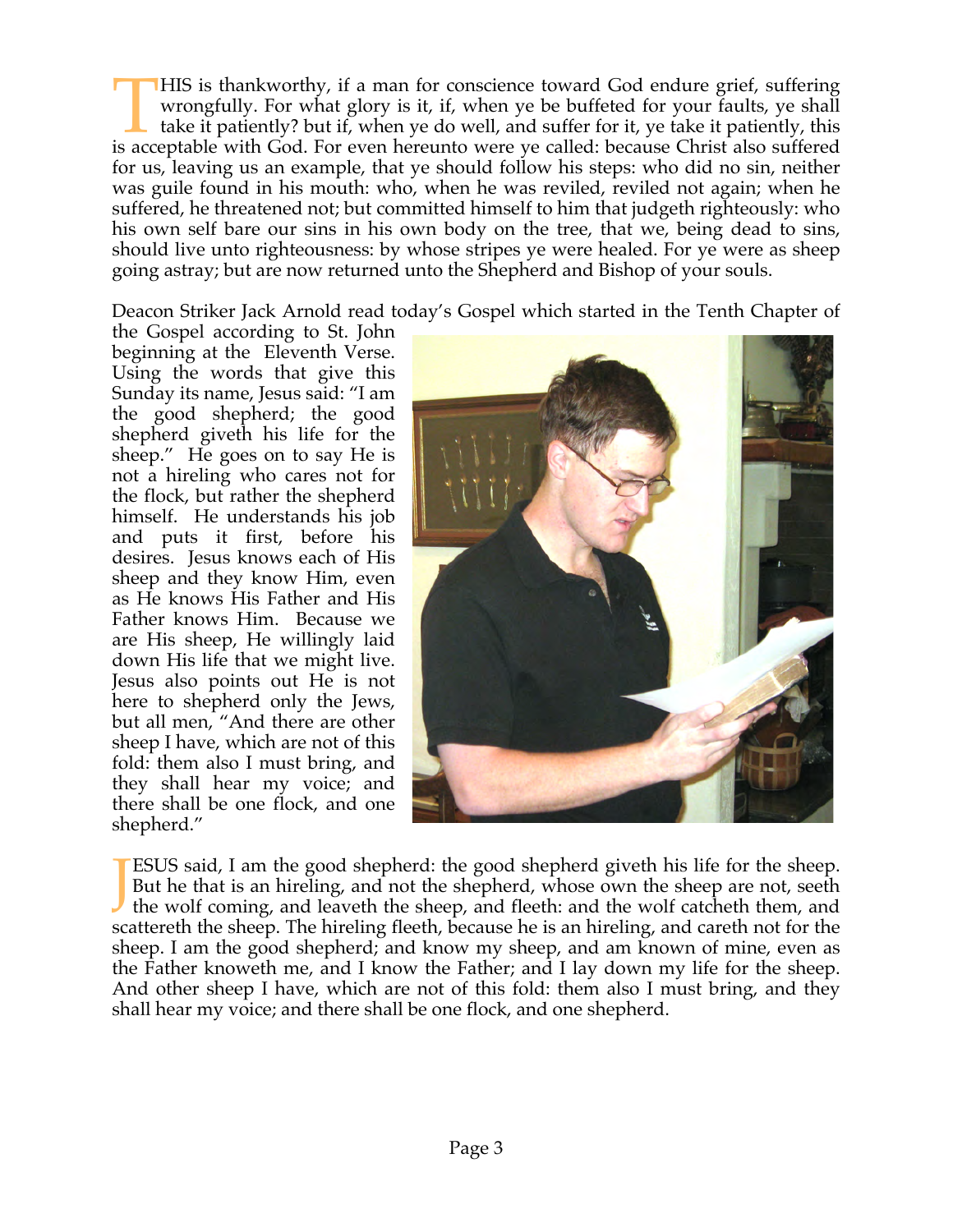HIS is thankworthy, if a man for conscience toward God endure grief, suffering wrongfully. For what glory is it, if, when ye be buffeted for your faults, ye shall take it patiently? but if, when ye do well, and suffer for it, ye take it patiently, this IMIS is thankworthy, if a man for conscience toward God endure grief, suffering wrongfully. For what glory is it, if, when ye be buffeted for your faults, ye shall take it patiently? but if, when ye do well, and suffer for for us, leaving us an example, that ye should follow his steps: who did no sin, neither was guile found in his mouth: who, when he was reviled, reviled not again; when he suffered, he threatened not; but committed himself to him that judgeth righteously: who his own self bare our sins in his own body on the tree, that we, being dead to sins, should live unto righteousness: by whose stripes ye were healed. For ye were as sheep going astray; but are now returned unto the Shepherd and Bishop of your souls.

Deacon Striker Jack Arnold read today's Gospel which started in the Tenth Chapter of

the Gospel according to St. John beginning at the Eleventh Verse. Using the words that give this Sunday its name, Jesus said: "I am the good shepherd; the good shepherd giveth his life for the sheep." He goes on to say He is not a hireling who cares not for the flock, but rather the shepherd himself. He understands his job and puts it first, before his desires. Jesus knows each of His sheep and they know Him, even as He knows His Father and His Father knows Him. Because we are His sheep, He willingly laid down His life that we might live. Jesus also points out He is not here to shepherd only the Jews, but all men, "And there are other sheep I have, which are not of this fold: them also I must bring, and they shall hear my voice; and there shall be one flock, and one shepherd."



ESUS said, I am the good shepherd: the good shepherd giveth his life for the sheep. But he that is an hireling, and not the shepherd, whose own the sheep are not, seeth the wolf coming, and leaveth the sheep, and fleeth: and the wolf catcheth them, and scattereth the sheep. The hireling fleeth, because he is an hireling, and careth not for the sheep. I am the good shepherd; and know my sheep, and am known of mine, even as the Father knoweth me, and I know the Father; and I lay down my life for the sheep. And other sheep I have, which are not of this fold: them also I must bring, and they shall hear my voice; and there shall be one flock, and one shepherd. J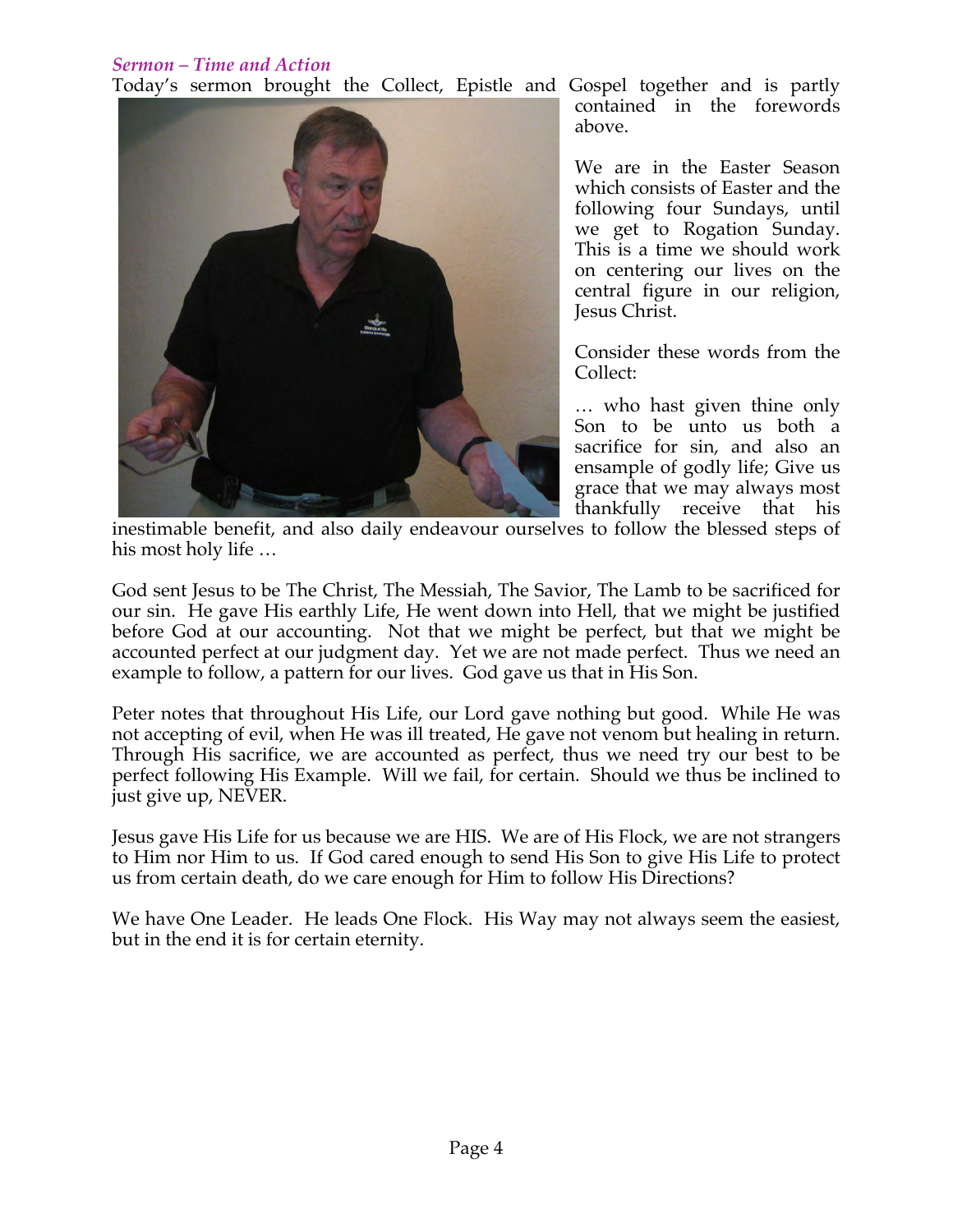# *Sermon – Time and Action*

Today's sermon brought the Collect, Epistle and Gospel together and is partly



contained in the forewords above.

We are in the Easter Season which consists of Easter and the following four Sundays, until we get to Rogation Sunday. This is a time we should work on centering our lives on the central figure in our religion, Jesus Christ.

Consider these words from the Collect:

… who hast given thine only Son to be unto us both a sacrifice for sin, and also an ensample of godly life; Give us grace that we may always most thankfully receive that his

inestimable benefit, and also daily endeavour ourselves to follow the blessed steps of his most holy life …

God sent Jesus to be The Christ, The Messiah, The Savior, The Lamb to be sacrificed for our sin. He gave His earthly Life, He went down into Hell, that we might be justified before God at our accounting. Not that we might be perfect, but that we might be accounted perfect at our judgment day. Yet we are not made perfect. Thus we need an example to follow, a pattern for our lives. God gave us that in His Son.

Peter notes that throughout His Life, our Lord gave nothing but good. While He was not accepting of evil, when He was ill treated, He gave not venom but healing in return. Through His sacrifice, we are accounted as perfect, thus we need try our best to be perfect following His Example. Will we fail, for certain. Should we thus be inclined to just give up, NEVER.

Jesus gave His Life for us because we are HIS. We are of His Flock, we are not strangers to Him nor Him to us. If God cared enough to send His Son to give His Life to protect us from certain death, do we care enough for Him to follow His Directions?

We have One Leader. He leads One Flock. His Way may not always seem the easiest, but in the end it is for certain eternity.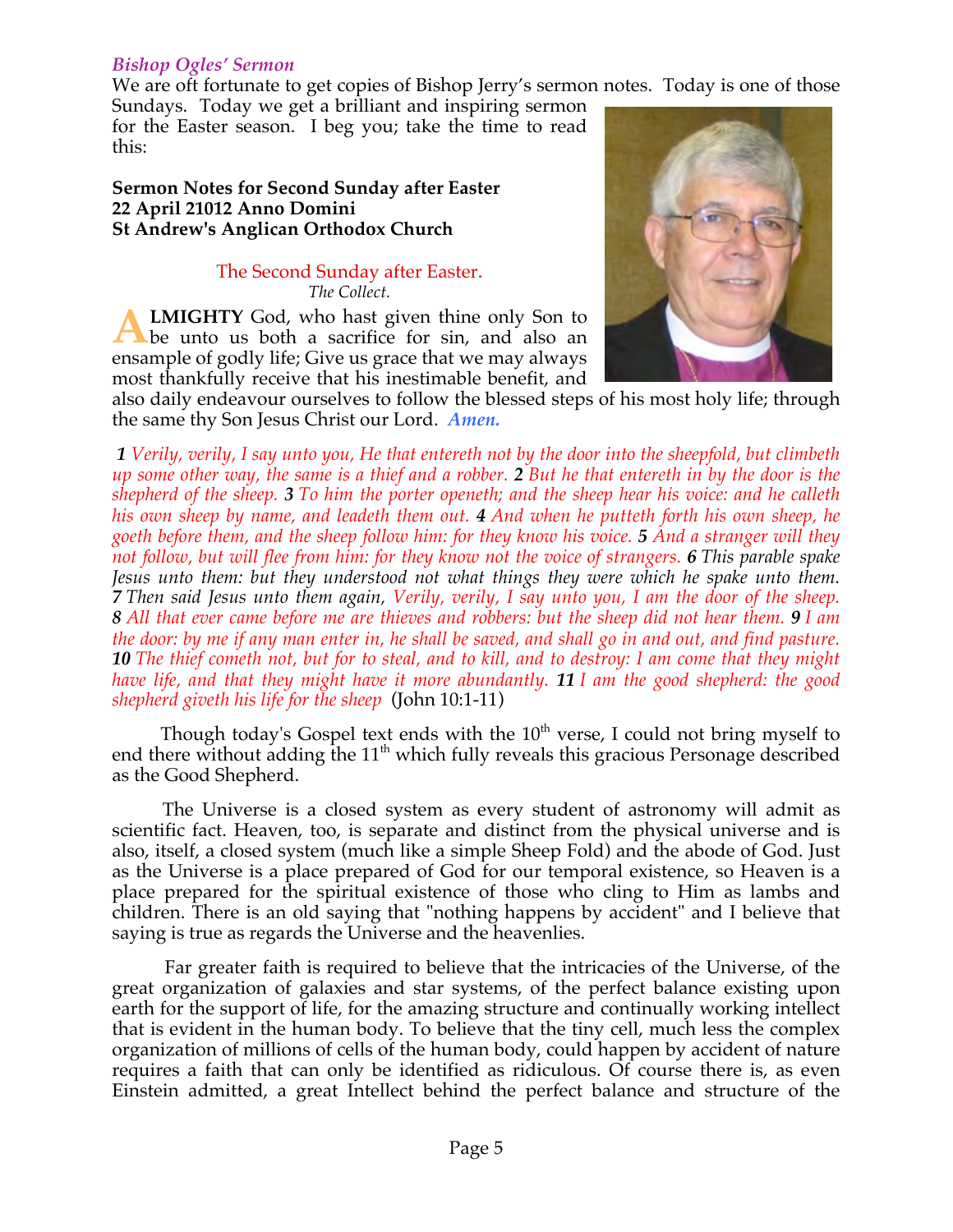### *Bishop Ogles' Sermon*

We are oft fortunate to get copies of Bishop Jerry's sermon notes. Today is one of those

Sundays. Today we get a brilliant and inspiring sermon for the Easter season. I beg you; take the time to read this:

#### **Sermon Notes for Second Sunday after Easter 22 April 21012 Anno Domini St Andrew's Anglican Orthodox Church**

#### The Second Sunday after Easter. *The Collect.*

**LMIGHTY** God, who hast given thine only Son to be unto us both a sacrifice for sin, and also an ensample of godly life; Give us grace that we may always most thankfully receive that his inestimable benefit, and **A**



also daily endeavour ourselves to follow the blessed steps of his most holy life; through the same thy Son Jesus Christ our Lord. *Amen.*

*1 Verily, verily, I say unto you, He that entereth not by the door into the sheepfold, but climbeth up some other way, the same is a thief and a robber. 2 But he that entereth in by the door is the shepherd of the sheep. 3 To him the porter openeth; and the sheep hear his voice: and he calleth his own sheep by name, and leadeth them out. 4 And when he putteth forth his own sheep, he goeth before them, and the sheep follow him: for they know his voice. 5 And a stranger will they not follow, but will flee from him: for they know not the voice of strangers. 6 This parable spake Jesus unto them: but they understood not what things they were which he spake unto them. 7 Then said Jesus unto them again, Verily, verily, I say unto you, I am the door of the sheep. 8 All that ever came before me are thieves and robbers: but the sheep did not hear them. 9 I am the door: by me if any man enter in, he shall be saved, and shall go in and out, and find pasture. 10 The thief cometh not, but for to steal, and to kill, and to destroy: I am come that they might have life, and that they might have it more abundantly. 11 I am the good shepherd: the good shepherd giveth his life for the sheep* (John 10:1-11)

Though today's Gospel text ends with the  $10<sup>th</sup>$  verse, I could not bring myself to end there without adding the 11<sup>th</sup> which fully reveals this gracious Personage described as the Good Shepherd.

 The Universe is a closed system as every student of astronomy will admit as scientific fact. Heaven, too, is separate and distinct from the physical universe and is also, itself, a closed system (much like a simple Sheep Fold) and the abode of God. Just as the Universe is a place prepared of God for our temporal existence, so Heaven is a place prepared for the spiritual existence of those who cling to Him as lambs and children. There is an old saying that "nothing happens by accident" and I believe that saying is true as regards the Universe and the heavenlies.

 Far greater faith is required to believe that the intricacies of the Universe, of the great organization of galaxies and star systems, of the perfect balance existing upon earth for the support of life, for the amazing structure and continually working intellect that is evident in the human body. To believe that the tiny cell, much less the complex organization of millions of cells of the human body, could happen by accident of nature requires a faith that can only be identified as ridiculous. Of course there is, as even Einstein admitted, a great Intellect behind the perfect balance and structure of the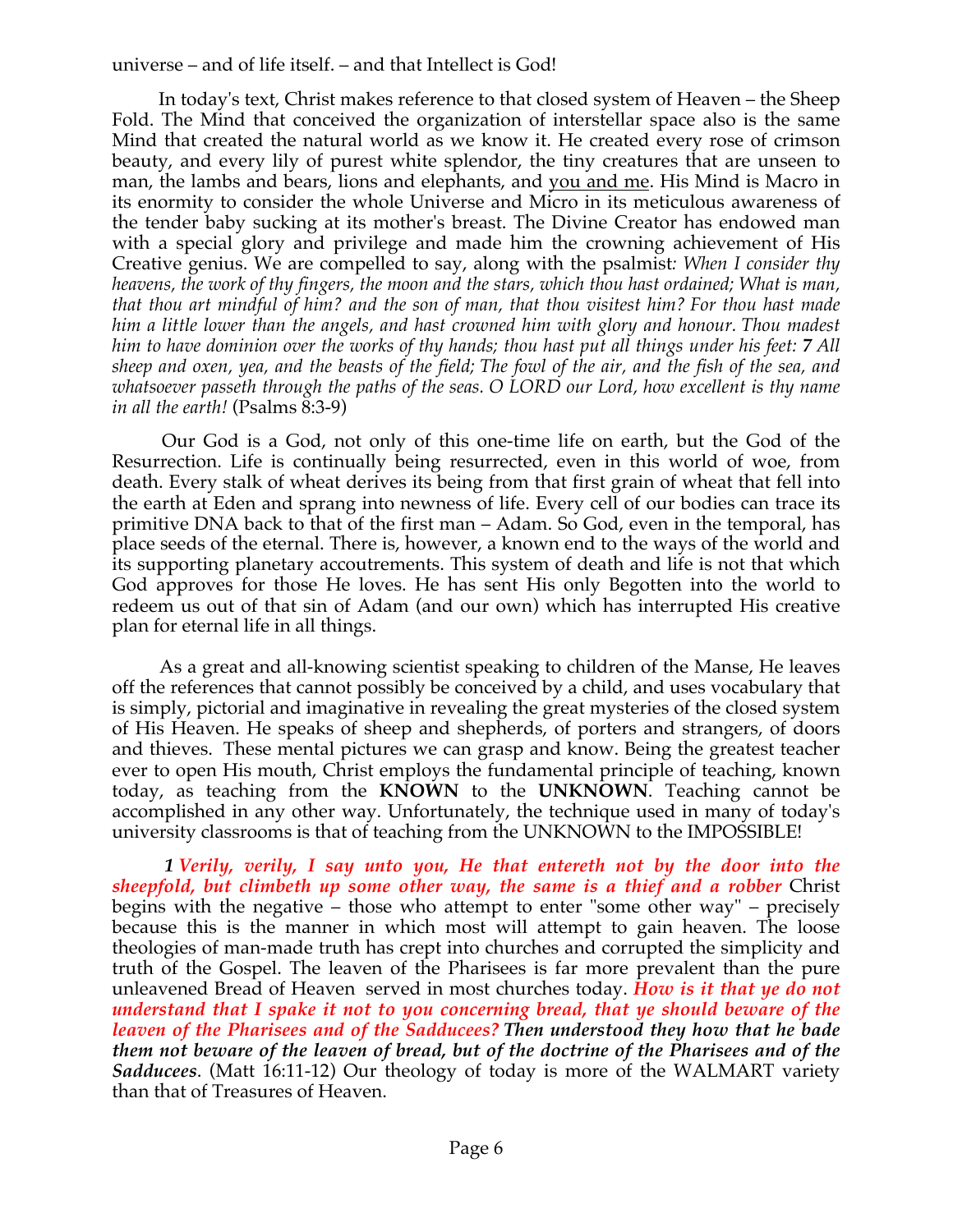universe – and of life itself. – and that Intellect is God!

 In today's text, Christ makes reference to that closed system of Heaven – the Sheep Fold. The Mind that conceived the organization of interstellar space also is the same Mind that created the natural world as we know it. He created every rose of crimson beauty, and every lily of purest white splendor, the tiny creatures that are unseen to man, the lambs and bears, lions and elephants, and you and me. His Mind is Macro in its enormity to consider the whole Universe and Micro in its meticulous awareness of the tender baby sucking at its mother's breast. The Divine Creator has endowed man with a special glory and privilege and made him the crowning achievement of His Creative genius. We are compelled to say, along with the psalmist*: When I consider thy heavens, the work of thy fingers, the moon and the stars, which thou hast ordained; What is man, that thou art mindful of him? and the son of man, that thou visitest him? For thou hast made him a little lower than the angels, and hast crowned him with glory and honour. Thou madest him to have dominion over the works of thy hands; thou hast put all things under his feet: 7 All sheep and oxen, yea, and the beasts of the field; The fowl of the air, and the fish of the sea, and whatsoever passeth through the paths of the seas. O LORD our Lord, how excellent is thy name in all the earth!* (Psalms 8:3-9)

 Our God is a God, not only of this one-time life on earth, but the God of the Resurrection. Life is continually being resurrected, even in this world of woe, from death. Every stalk of wheat derives its being from that first grain of wheat that fell into the earth at Eden and sprang into newness of life. Every cell of our bodies can trace its primitive DNA back to that of the first man – Adam. So God, even in the temporal, has place seeds of the eternal. There is, however, a known end to the ways of the world and its supporting planetary accoutrements. This system of death and life is not that which God approves for those He loves. He has sent His only Begotten into the world to redeem us out of that sin of Adam (and our own) which has interrupted His creative plan for eternal life in all things.

 As a great and all-knowing scientist speaking to children of the Manse, He leaves off the references that cannot possibly be conceived by a child, and uses vocabulary that is simply, pictorial and imaginative in revealing the great mysteries of the closed system of His Heaven. He speaks of sheep and shepherds, of porters and strangers, of doors and thieves. These mental pictures we can grasp and know. Being the greatest teacher ever to open His mouth, Christ employs the fundamental principle of teaching, known today, as teaching from the **KNOWN** to the **UNKNOWN**. Teaching cannot be accomplished in any other way. Unfortunately, the technique used in many of today's university classrooms is that of teaching from the UNKNOWN to the IMPOSSIBLE!

 *1 Verily, verily, I say unto you, He that entereth not by the door into the sheepfold, but climbeth up some other way, the same is a thief and a robber* Christ begins with the negative – those who attempt to enter "some other way" – precisely because this is the manner in which most will attempt to gain heaven. The loose theologies of man-made truth has crept into churches and corrupted the simplicity and truth of the Gospel. The leaven of the Pharisees is far more prevalent than the pure unleavened Bread of Heaven served in most churches today. *How is it that ye do not understand that I spake it not to you concerning bread, that ye should beware of the leaven of the Pharisees and of the Sadducees? Then understood they how that he bade them not beware of the leaven of bread, but of the doctrine of the Pharisees and of the Sadducees*. (Matt 16:11-12) Our theology of today is more of the WALMART variety than that of Treasures of Heaven.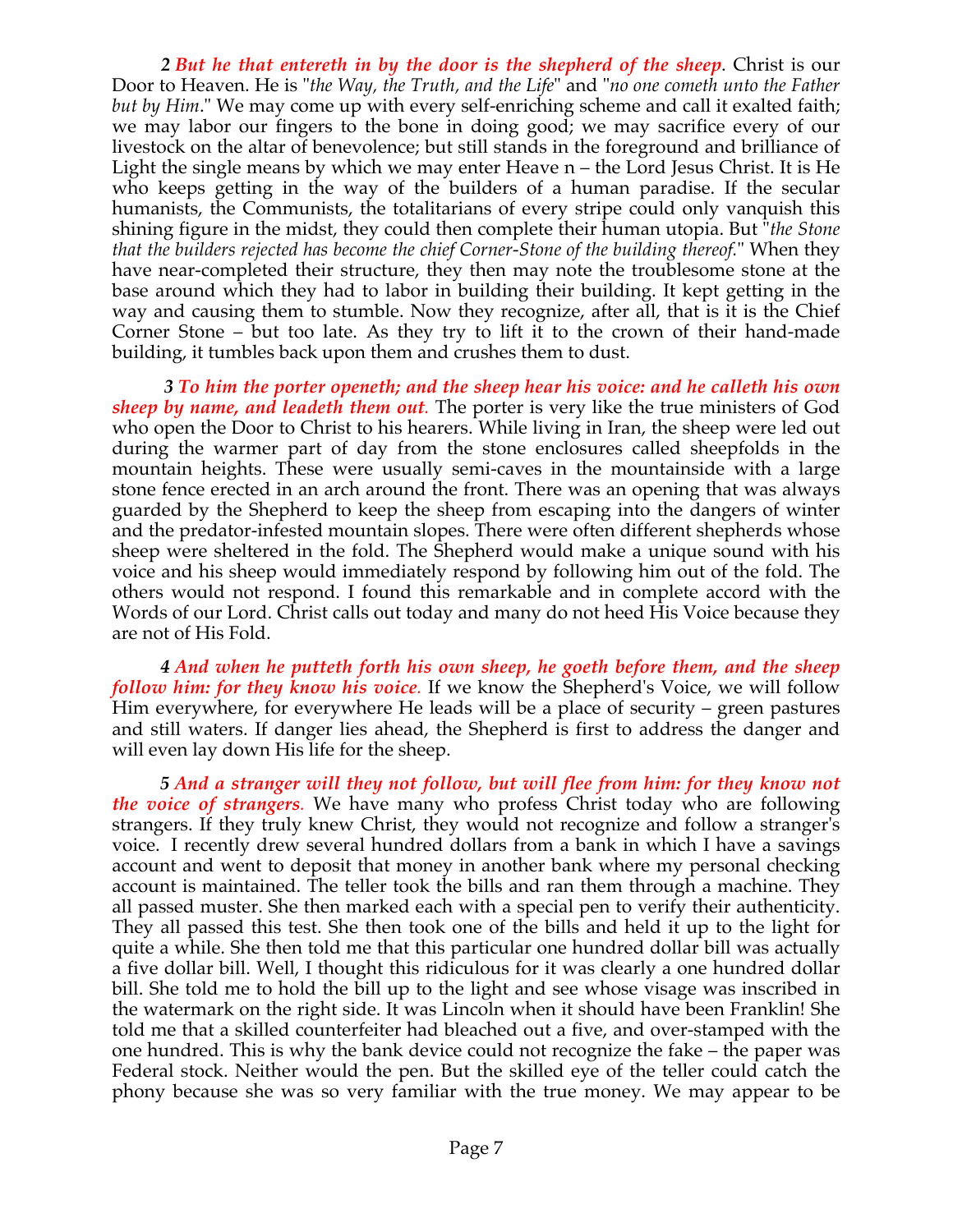*2 But he that entereth in by the door is the shepherd of the sheep*. Christ is our Door to Heaven. He is "*the Way, the Truth, and the Life*" and "*no one cometh unto the Father but by Him*." We may come up with every self-enriching scheme and call it exalted faith; we may labor our fingers to the bone in doing good; we may sacrifice every of our livestock on the altar of benevolence; but still stands in the foreground and brilliance of Light the single means by which we may enter Heave n – the Lord Jesus Christ. It is He who keeps getting in the way of the builders of a human paradise. If the secular humanists, the Communists, the totalitarians of every stripe could only vanquish this shining figure in the midst, they could then complete their human utopia. But "*the Stone that the builders rejected has become the chief Corner-Stone of the building thereof.*" When they have near-completed their structure, they then may note the troublesome stone at the base around which they had to labor in building their building. It kept getting in the way and causing them to stumble. Now they recognize, after all, that is it is the Chief Corner Stone – but too late. As they try to lift it to the crown of their hand-made building, it tumbles back upon them and crushes them to dust.

 *3 To him the porter openeth; and the sheep hear his voice: and he calleth his own sheep by name, and leadeth them out.* The porter is very like the true ministers of God who open the Door to Christ to his hearers. While living in Iran, the sheep were led out during the warmer part of day from the stone enclosures called sheepfolds in the mountain heights. These were usually semi-caves in the mountainside with a large stone fence erected in an arch around the front. There was an opening that was always guarded by the Shepherd to keep the sheep from escaping into the dangers of winter and the predator-infested mountain slopes. There were often different shepherds whose sheep were sheltered in the fold. The Shepherd would make a unique sound with his voice and his sheep would immediately respond by following him out of the fold. The others would not respond. I found this remarkable and in complete accord with the Words of our Lord. Christ calls out today and many do not heed His Voice because they are not of His Fold.

 *4 And when he putteth forth his own sheep, he goeth before them, and the sheep follow him: for they know his voice.* If we know the Shepherd's Voice, we will follow Him everywhere, for everywhere He leads will be a place of security – green pastures and still waters. If danger lies ahead, the Shepherd is first to address the danger and will even lay down His life for the sheep.

 *5 And a stranger will they not follow, but will flee from him: for they know not the voice of strangers.* We have many who profess Christ today who are following strangers. If they truly knew Christ, they would not recognize and follow a stranger's voice. I recently drew several hundred dollars from a bank in which I have a savings account and went to deposit that money in another bank where my personal checking account is maintained. The teller took the bills and ran them through a machine. They all passed muster. She then marked each with a special pen to verify their authenticity. They all passed this test. She then took one of the bills and held it up to the light for quite a while. She then told me that this particular one hundred dollar bill was actually a five dollar bill. Well, I thought this ridiculous for it was clearly a one hundred dollar bill. She told me to hold the bill up to the light and see whose visage was inscribed in the watermark on the right side. It was Lincoln when it should have been Franklin! She told me that a skilled counterfeiter had bleached out a five, and over-stamped with the one hundred. This is why the bank device could not recognize the fake – the paper was Federal stock. Neither would the pen. But the skilled eye of the teller could catch the phony because she was so very familiar with the true money. We may appear to be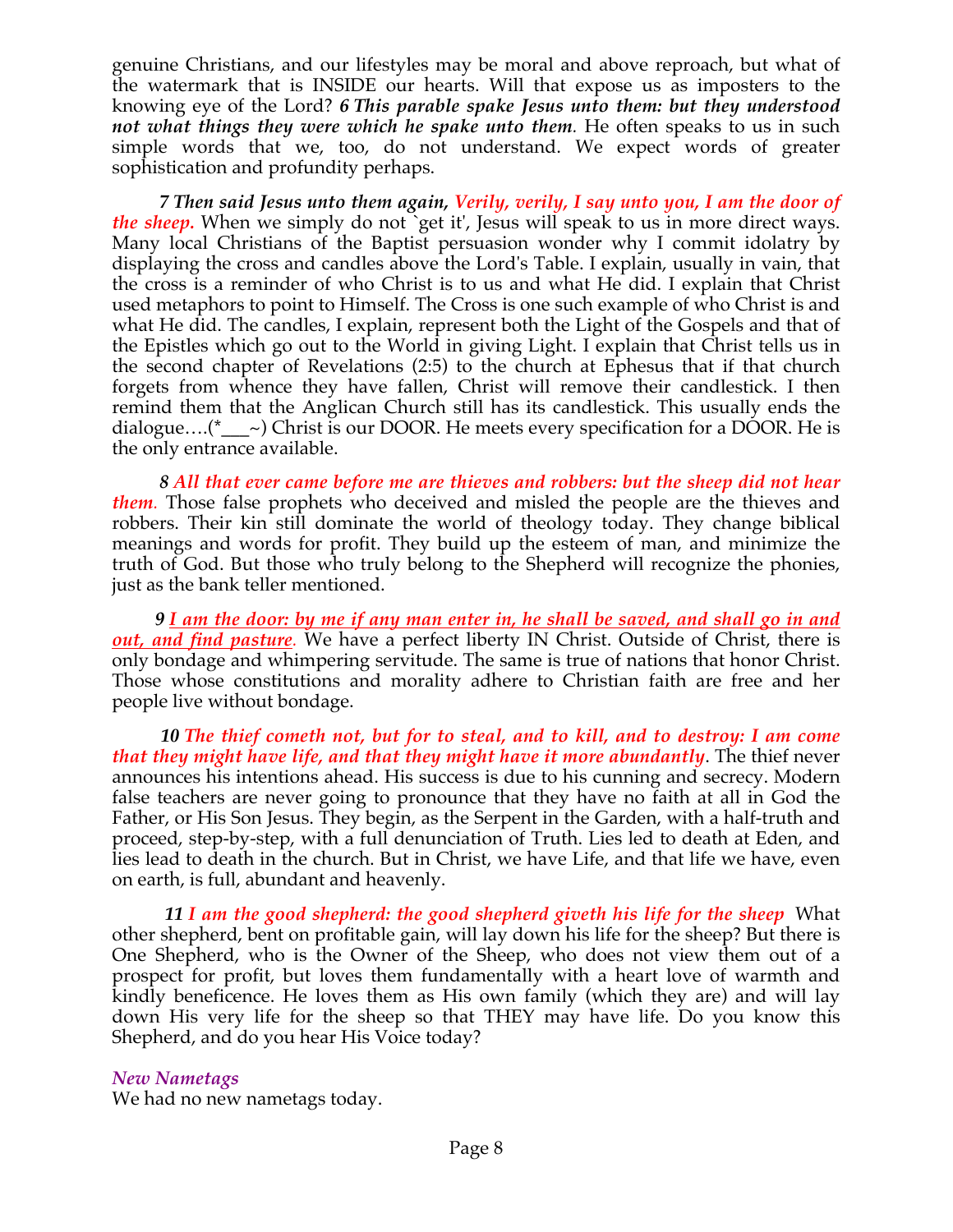genuine Christians, and our lifestyles may be moral and above reproach, but what of the watermark that is INSIDE our hearts. Will that expose us as imposters to the knowing eye of the Lord? *6 This parable spake Jesus unto them: but they understood not what things they were which he spake unto them.* He often speaks to us in such simple words that we, too, do not understand. We expect words of greater sophistication and profundity perhaps.

*7 Then said Jesus unto them again, Verily, verily, I say unto you, I am the door of the sheep*. When we simply do not 'get it', Jesus will speak to us in more direct ways. Many local Christians of the Baptist persuasion wonder why I commit idolatry by displaying the cross and candles above the Lord's Table. I explain, usually in vain, that the cross is a reminder of who Christ is to us and what He did. I explain that Christ used metaphors to point to Himself. The Cross is one such example of who Christ is and what He did. The candles, I explain, represent both the Light of the Gospels and that of the Epistles which go out to the World in giving Light. I explain that Christ tells us in the second chapter of Revelations (2:5) to the church at Ephesus that if that church forgets from whence they have fallen, Christ will remove their candlestick. I then remind them that the Anglican Church still has its candlestick. This usually ends the dialogue....( $^*$ <sub>\_\_\_</sub>~) Christ is our DOOR. He meets every specification for a DOOR. He is the only entrance available.

 *8 All that ever came before me are thieves and robbers: but the sheep did not hear them.* Those false prophets who deceived and misled the people are the thieves and robbers. Their kin still dominate the world of theology today. They change biblical meanings and words for profit. They build up the esteem of man, and minimize the truth of God. But those who truly belong to the Shepherd will recognize the phonies, just as the bank teller mentioned.

 *9 I am the door: by me if any man enter in, he shall be saved, and shall go in and out, and find pasture.* We have a perfect liberty IN Christ. Outside of Christ, there is only bondage and whimpering servitude. The same is true of nations that honor Christ. Those whose constitutions and morality adhere to Christian faith are free and her people live without bondage.

 *10 The thief cometh not, but for to steal, and to kill, and to destroy: I am come that they might have life, and that they might have it more abundantly*. The thief never announces his intentions ahead. His success is due to his cunning and secrecy. Modern false teachers are never going to pronounce that they have no faith at all in God the Father, or His Son Jesus. They begin, as the Serpent in the Garden, with a half-truth and proceed, step-by-step, with a full denunciation of Truth. Lies led to death at Eden, and lies lead to death in the church. But in Christ, we have Life, and that life we have, even on earth, is full, abundant and heavenly.

 *11 I am the good shepherd: the good shepherd giveth his life for the sheep* What other shepherd, bent on profitable gain, will lay down his life for the sheep? But there is One Shepherd, who is the Owner of the Sheep, who does not view them out of a prospect for profit, but loves them fundamentally with a heart love of warmth and kindly beneficence. He loves them as His own family (which they are) and will lay down His very life for the sheep so that THEY may have life. Do you know this Shepherd, and do you hear His Voice today?

### *New Nametags*

We had no new nametags today.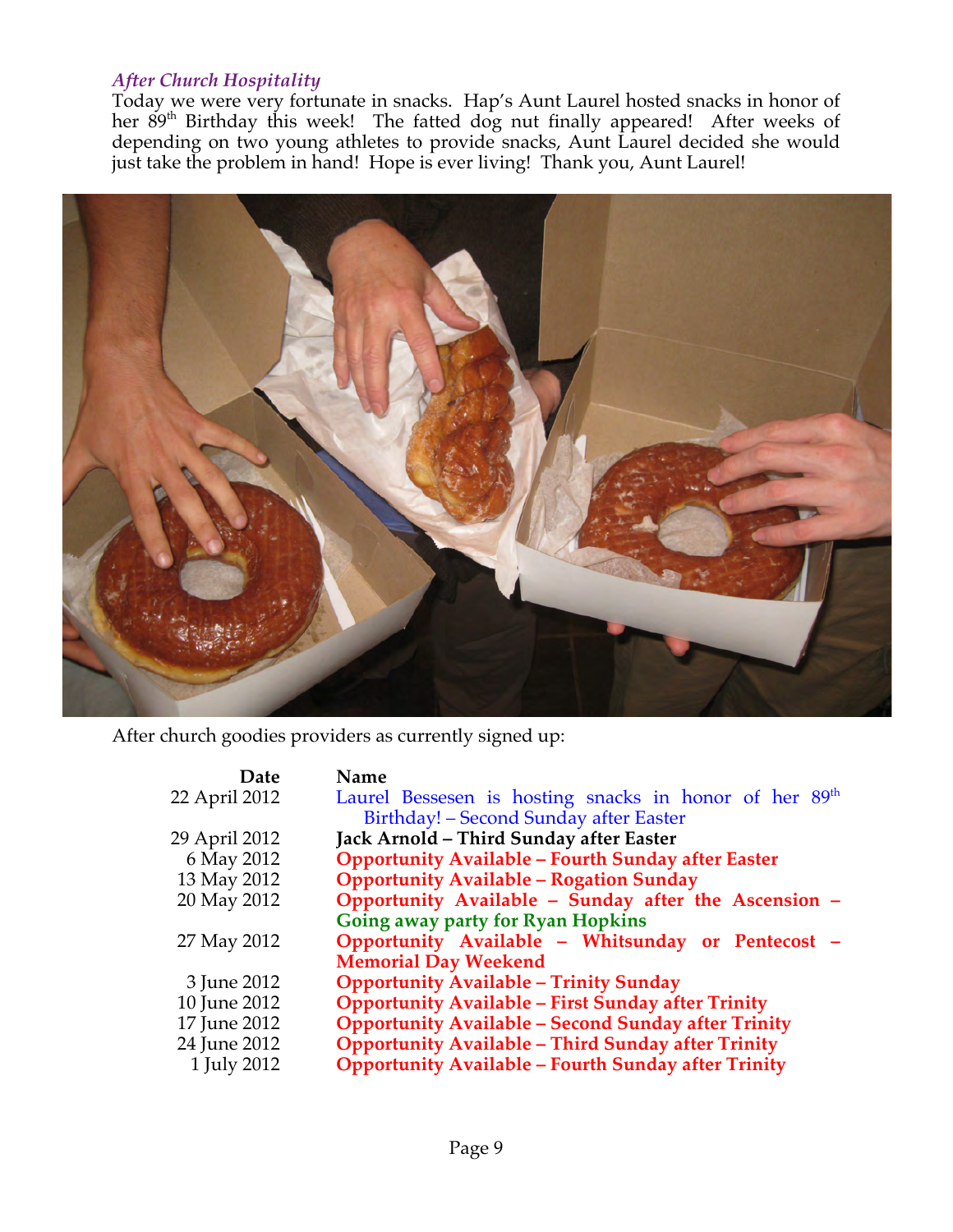## *After Church Hospitality*

Today we were very fortunate in snacks. Hap's Aunt Laurel hosted snacks in honor of her 89<sup>th</sup> Birthday this week! The fatted dog nut finally appeared! After weeks of depending on two young athletes to provide snacks, Aunt Laurel decided she would just take the problem in hand! Hope is ever living! Thank you, Aunt Laurel!



After church goodies providers as currently signed up:

| Date          | Name                                                               |
|---------------|--------------------------------------------------------------------|
| 22 April 2012 | Laurel Bessesen is hosting snacks in honor of her 89 <sup>th</sup> |
|               | Birthday! – Second Sunday after Easter                             |
| 29 April 2012 | Jack Arnold - Third Sunday after Easter                            |
| 6 May 2012    | <b>Opportunity Available - Fourth Sunday after Easter</b>          |
| 13 May 2012   | <b>Opportunity Available - Rogation Sunday</b>                     |
| 20 May 2012   | Opportunity Available - Sunday after the Ascension -               |
|               | Going away party for Ryan Hopkins                                  |
| 27 May 2012   | Opportunity Available - Whitsunday or Pentecost -                  |
|               | <b>Memorial Day Weekend</b>                                        |
| 3 June 2012   | <b>Opportunity Available - Trinity Sunday</b>                      |
| 10 June 2012  | <b>Opportunity Available - First Sunday after Trinity</b>          |
| 17 June 2012  | <b>Opportunity Available - Second Sunday after Trinity</b>         |
| 24 June 2012  | <b>Opportunity Available - Third Sunday after Trinity</b>          |
| 1 July 2012   | <b>Opportunity Available - Fourth Sunday after Trinity</b>         |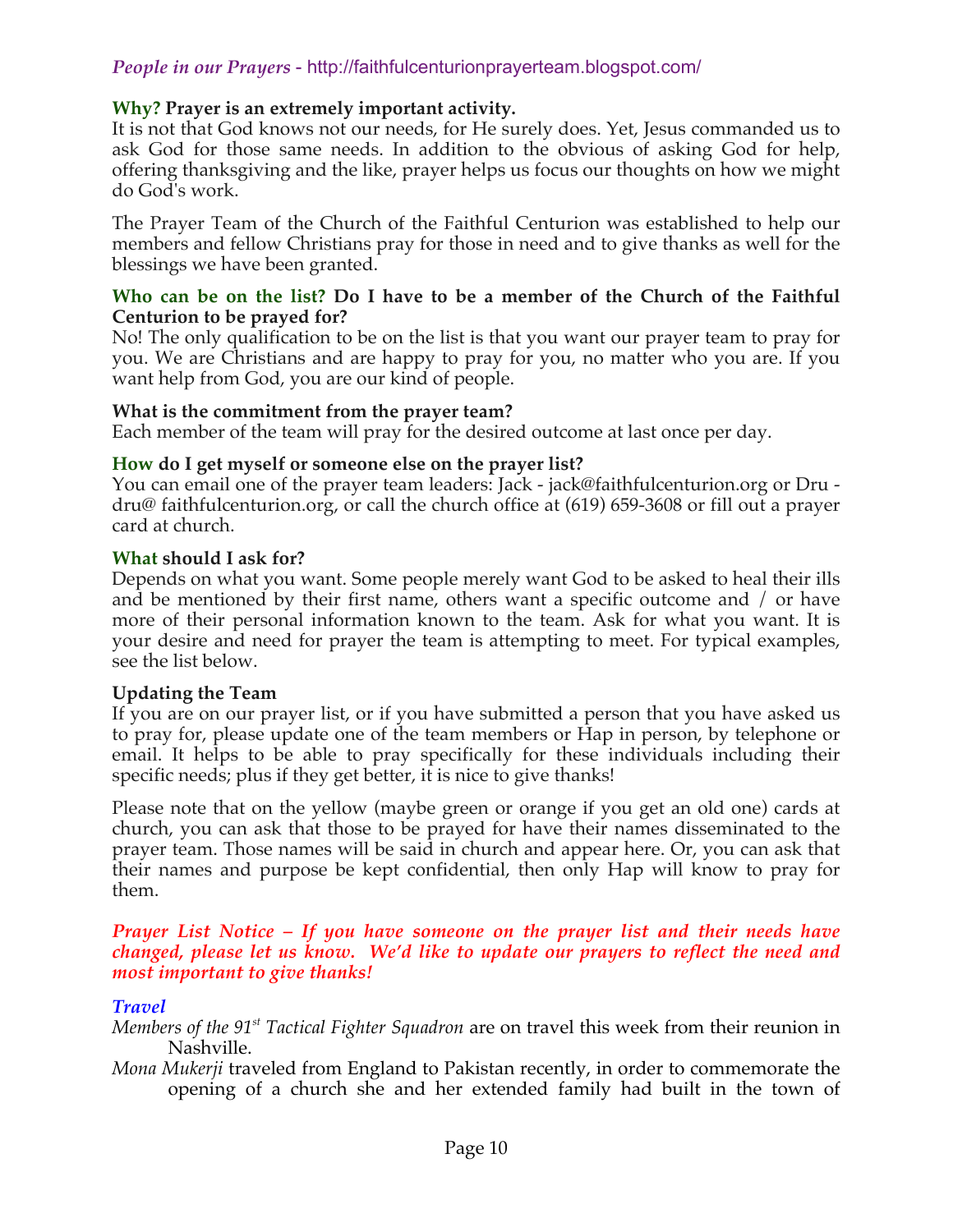# *People in our Prayers* - http://faithfulcenturionprayerteam.blogspot.com/

#### **Why? Prayer is an extremely important activity.**

It is not that God knows not our needs, for He surely does. Yet, Jesus commanded us to ask God for those same needs. In addition to the obvious of asking God for help, offering thanksgiving and the like, prayer helps us focus our thoughts on how we might do God's work.

The Prayer Team of the Church of the Faithful Centurion was established to help our members and fellow Christians pray for those in need and to give thanks as well for the blessings we have been granted.

#### **Who can be on the list? Do I have to be a member of the Church of the Faithful Centurion to be prayed for?**

No! The only qualification to be on the list is that you want our prayer team to pray for you. We are Christians and are happy to pray for you, no matter who you are. If you want help from God, you are our kind of people.

#### **What is the commitment from the prayer team?**

Each member of the team will pray for the desired outcome at last once per day.

#### **How do I get myself or someone else on the prayer list?**

You can email one of the prayer team leaders: Jack - jack@faithfulcenturion.org or Dru dru@ faithfulcenturion.org, or call the church office at (619) 659-3608 or fill out a prayer card at church.

#### **What should I ask for?**

Depends on what you want. Some people merely want God to be asked to heal their ills and be mentioned by their first name, others want a specific outcome and / or have more of their personal information known to the team. Ask for what you want. It is your desire and need for prayer the team is attempting to meet. For typical examples, see the list below.

### **Updating the Team**

If you are on our prayer list, or if you have submitted a person that you have asked us to pray for, please update one of the team members or Hap in person, by telephone or email. It helps to be able to pray specifically for these individuals including their specific needs; plus if they get better, it is nice to give thanks!

Please note that on the yellow (maybe green or orange if you get an old one) cards at church, you can ask that those to be prayed for have their names disseminated to the prayer team. Those names will be said in church and appear here. Or, you can ask that their names and purpose be kept confidential, then only Hap will know to pray for them.

#### *Prayer List Notice – If you have someone on the prayer list and their needs have changed, please let us know. We'd like to update our prayers to reflect the need and most important to give thanks!*

### *Travel*

- *Members of the 91st Tactical Fighter Squadron* are on travel this week from their reunion in Nashville.
- *Mona Mukerji* traveled from England to Pakistan recently, in order to commemorate the opening of a church she and her extended family had built in the town of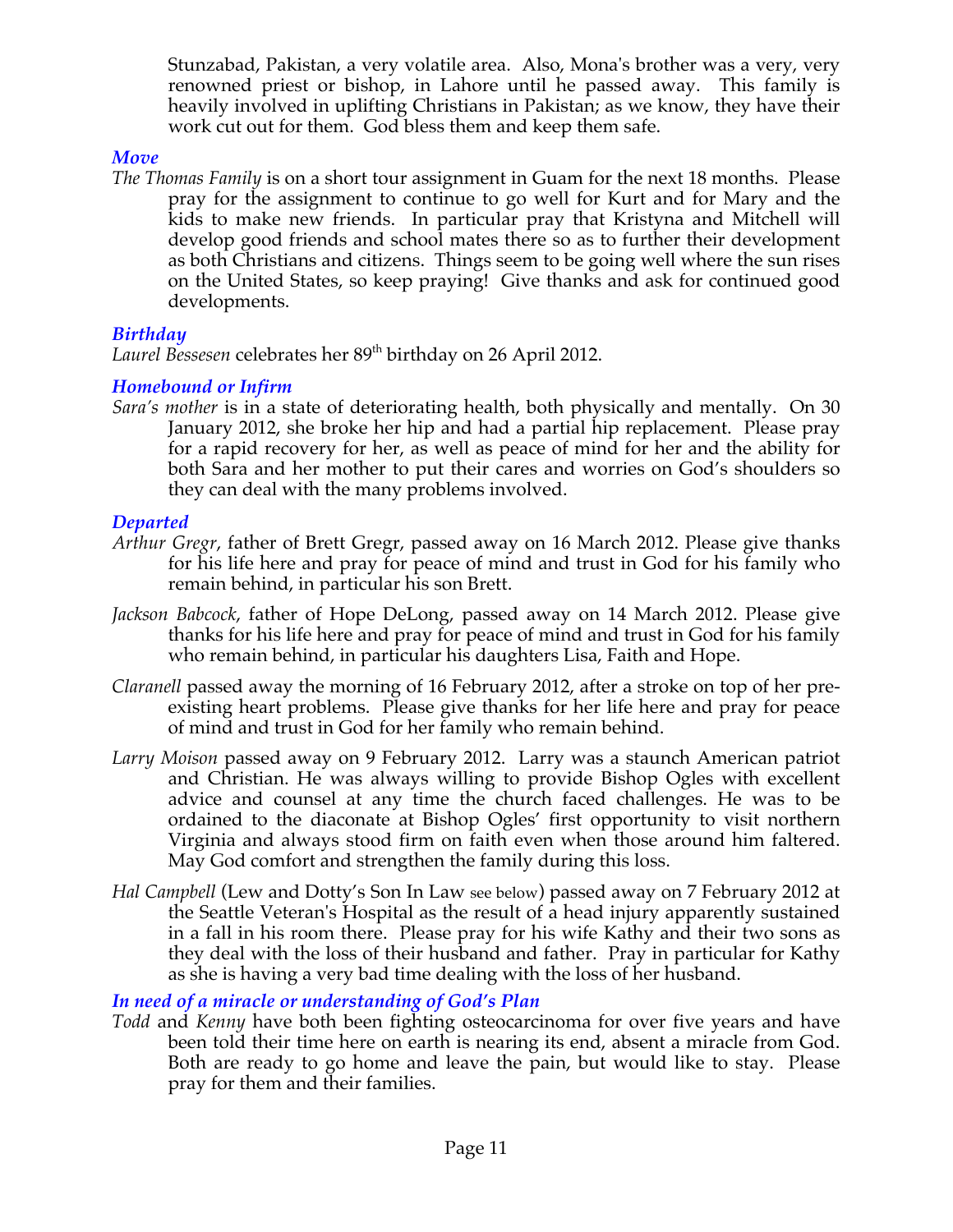Stunzabad, Pakistan, a very volatile area. Also, Mona's brother was a very, very renowned priest or bishop, in Lahore until he passed away. This family is heavily involved in uplifting Christians in Pakistan; as we know, they have their work cut out for them. God bless them and keep them safe.

### *Move*

*The Thomas Family* is on a short tour assignment in Guam for the next 18 months. Please pray for the assignment to continue to go well for Kurt and for Mary and the kids to make new friends. In particular pray that Kristyna and Mitchell will develop good friends and school mates there so as to further their development as both Christians and citizens. Things seem to be going well where the sun rises on the United States, so keep praying! Give thanks and ask for continued good developments.

### *Birthday*

Laurel Bessesen celebrates her 89<sup>th</sup> birthday on 26 April 2012.

### *Homebound or Infirm*

*Sara's mother* is in a state of deteriorating health, both physically and mentally. On 30 January 2012, she broke her hip and had a partial hip replacement. Please pray for a rapid recovery for her, as well as peace of mind for her and the ability for both Sara and her mother to put their cares and worries on God's shoulders so they can deal with the many problems involved.

# *Departed*

- *Arthur Gregr*, father of Brett Gregr, passed away on 16 March 2012. Please give thanks for his life here and pray for peace of mind and trust in God for his family who remain behind, in particular his son Brett.
- *Jackson Babcock*, father of Hope DeLong, passed away on 14 March 2012. Please give thanks for his life here and pray for peace of mind and trust in God for his family who remain behind, in particular his daughters Lisa, Faith and Hope.
- *Claranell* passed away the morning of 16 February 2012, after a stroke on top of her preexisting heart problems. Please give thanks for her life here and pray for peace of mind and trust in God for her family who remain behind.
- *Larry Moison* passed away on 9 February 2012. Larry was a staunch American patriot and Christian. He was always willing to provide Bishop Ogles with excellent advice and counsel at any time the church faced challenges. He was to be ordained to the diaconate at Bishop Ogles' first opportunity to visit northern Virginia and always stood firm on faith even when those around him faltered. May God comfort and strengthen the family during this loss.
- *Hal Campbell* (Lew and Dotty's Son In Law see below) passed away on 7 February 2012 at the Seattle Veteran's Hospital as the result of a head injury apparently sustained in a fall in his room there. Please pray for his wife Kathy and their two sons as they deal with the loss of their husband and father. Pray in particular for Kathy as she is having a very bad time dealing with the loss of her husband.

*In need of a miracle or understanding of God's Plan*

*Todd* and *Kenny* have both been fighting osteocarcinoma for over five years and have been told their time here on earth is nearing its end, absent a miracle from God. Both are ready to go home and leave the pain, but would like to stay. Please pray for them and their families.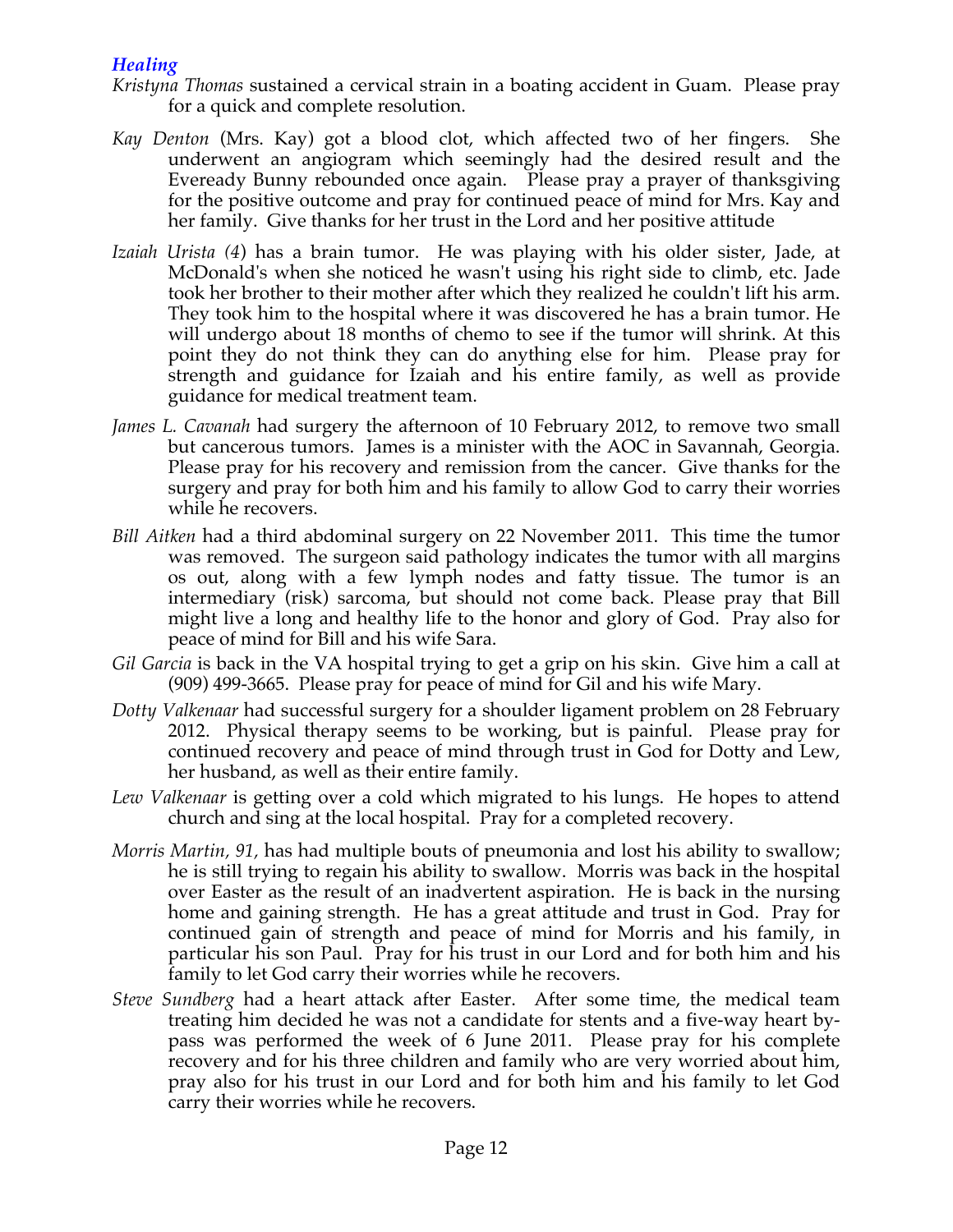# *Healing*

- *Kristyna Thomas* sustained a cervical strain in a boating accident in Guam. Please pray for a quick and complete resolution.
- *Kay Denton* (Mrs. Kay) got a blood clot, which affected two of her fingers. She underwent an angiogram which seemingly had the desired result and the Eveready Bunny rebounded once again. Please pray a prayer of thanksgiving for the positive outcome and pray for continued peace of mind for Mrs. Kay and her family. Give thanks for her trust in the Lord and her positive attitude.
- *Izaiah Urista (4*) has a brain tumor. He was playing with his older sister, Jade, at McDonald's when she noticed he wasn't using his right side to climb, etc. Jade took her brother to their mother after which they realized he couldn't lift his arm. They took him to the hospital where it was discovered he has a brain tumor. He will undergo about 18 months of chemo to see if the tumor will shrink. At this point they do not think they can do anything else for him. Please pray for strength and guidance for Izaiah and his entire family, as well as provide guidance for medical treatment team.
- *James L. Cavanah* had surgery the afternoon of 10 February 2012, to remove two small but cancerous tumors. James is a minister with the AOC in Savannah, Georgia. Please pray for his recovery and remission from the cancer. Give thanks for the surgery and pray for both him and his family to allow God to carry their worries while he recovers.
- *Bill Aitken* had a third abdominal surgery on 22 November 2011. This time the tumor was removed. The surgeon said pathology indicates the tumor with all margins os out, along with a few lymph nodes and fatty tissue. The tumor is an intermediary (risk) sarcoma, but should not come back. Please pray that Bill might live a long and healthy life to the honor and glory of God. Pray also for peace of mind for Bill and his wife Sara.
- *Gil Garcia* is back in the VA hospital trying to get a grip on his skin. Give him a call at (909) 499-3665. Please pray for peace of mind for Gil and his wife Mary.
- *Dotty Valkenaar* had successful surgery for a shoulder ligament problem on 28 February 2012. Physical therapy seems to be working, but is painful. Please pray for continued recovery and peace of mind through trust in God for Dotty and Lew, her husband, as well as their entire family.
- *Lew Valkenaar* is getting over a cold which migrated to his lungs. He hopes to attend church and sing at the local hospital. Pray for a completed recovery.
- *Morris Martin, 91,* has had multiple bouts of pneumonia and lost his ability to swallow; he is still trying to regain his ability to swallow. Morris was back in the hospital over Easter as the result of an inadvertent aspiration. He is back in the nursing home and gaining strength. He has a great attitude and trust in God. Pray for continued gain of strength and peace of mind for Morris and his family, in particular his son Paul. Pray for his trust in our Lord and for both him and his family to let God carry their worries while he recovers.
- *Steve Sundberg* had a heart attack after Easter. After some time, the medical team treating him decided he was not a candidate for stents and a five-way heart bypass was performed the week of 6 June 2011. Please pray for his complete recovery and for his three children and family who are very worried about him, pray also for his trust in our Lord and for both him and his family to let God carry their worries while he recovers.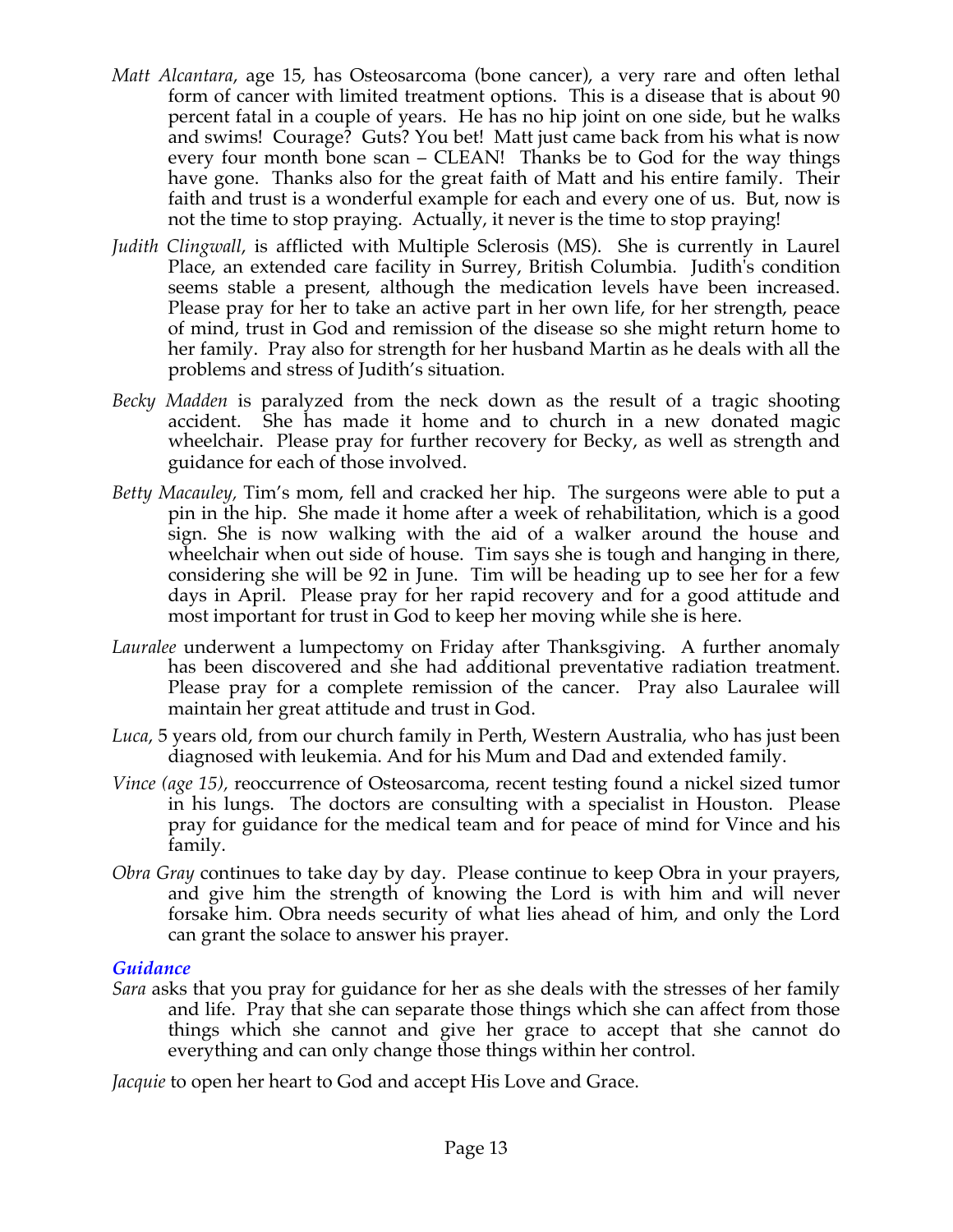- *Matt Alcantara*, age 15, has Osteosarcoma (bone cancer), a very rare and often lethal form of cancer with limited treatment options. This is a disease that is about 90 percent fatal in a couple of years. He has no hip joint on one side, but he walks and swims! Courage? Guts? You bet! Matt just came back from his what is now every four month bone scan – CLEAN! Thanks be to God for the way things have gone. Thanks also for the great faith of Matt and his entire family. Their faith and trust is a wonderful example for each and every one of us. But, now is not the time to stop praying. Actually, it never is the time to stop praying!
- *Judith Clingwall*, is afflicted with Multiple Sclerosis (MS). She is currently in Laurel Place, an extended care facility in Surrey, British Columbia. Judith's condition seems stable a present, although the medication levels have been increased. Please pray for her to take an active part in her own life, for her strength, peace of mind, trust in God and remission of the disease so she might return home to her family. Pray also for strength for her husband Martin as he deals with all the problems and stress of Judith's situation.
- *Becky Madden* is paralyzed from the neck down as the result of a tragic shooting accident. She has made it home and to church in a new donated magic wheelchair. Please pray for further recovery for Becky, as well as strength and guidance for each of those involved.
- *Betty Macauley,* Tim's mom, fell and cracked her hip. The surgeons were able to put a pin in the hip. She made it home after a week of rehabilitation, which is a good sign. She is now walking with the aid of a walker around the house and wheelchair when out side of house. Tim says she is tough and hanging in there, considering she will be 92 in June. Tim will be heading up to see her for a few days in April. Please pray for her rapid recovery and for a good attitude and most important for trust in God to keep her moving while she is here.
- *Lauralee* underwent a lumpectomy on Friday after Thanksgiving. A further anomaly has been discovered and she had additional preventative radiation treatment. Please pray for a complete remission of the cancer. Pray also Lauralee will maintain her great attitude and trust in God.
- *Luca*, 5 years old, from our church family in Perth, Western Australia, who has just been diagnosed with leukemia. And for his Mum and Dad and extended family.
- *Vince (age 15),* reoccurrence of Osteosarcoma, recent testing found a nickel sized tumor in his lungs. The doctors are consulting with a specialist in Houston. Please pray for guidance for the medical team and for peace of mind for Vince and his family.
- *Obra Gray* continues to take day by day. Please continue to keep Obra in your prayers, and give him the strength of knowing the Lord is with him and will never forsake him. Obra needs security of what lies ahead of him, and only the Lord can grant the solace to answer his prayer.

### *Guidance*

*Sara* asks that you pray for guidance for her as she deals with the stresses of her family and life. Pray that she can separate those things which she can affect from those things which she cannot and give her grace to accept that she cannot do everything and can only change those things within her control.

*Jacquie* to open her heart to God and accept His Love and Grace.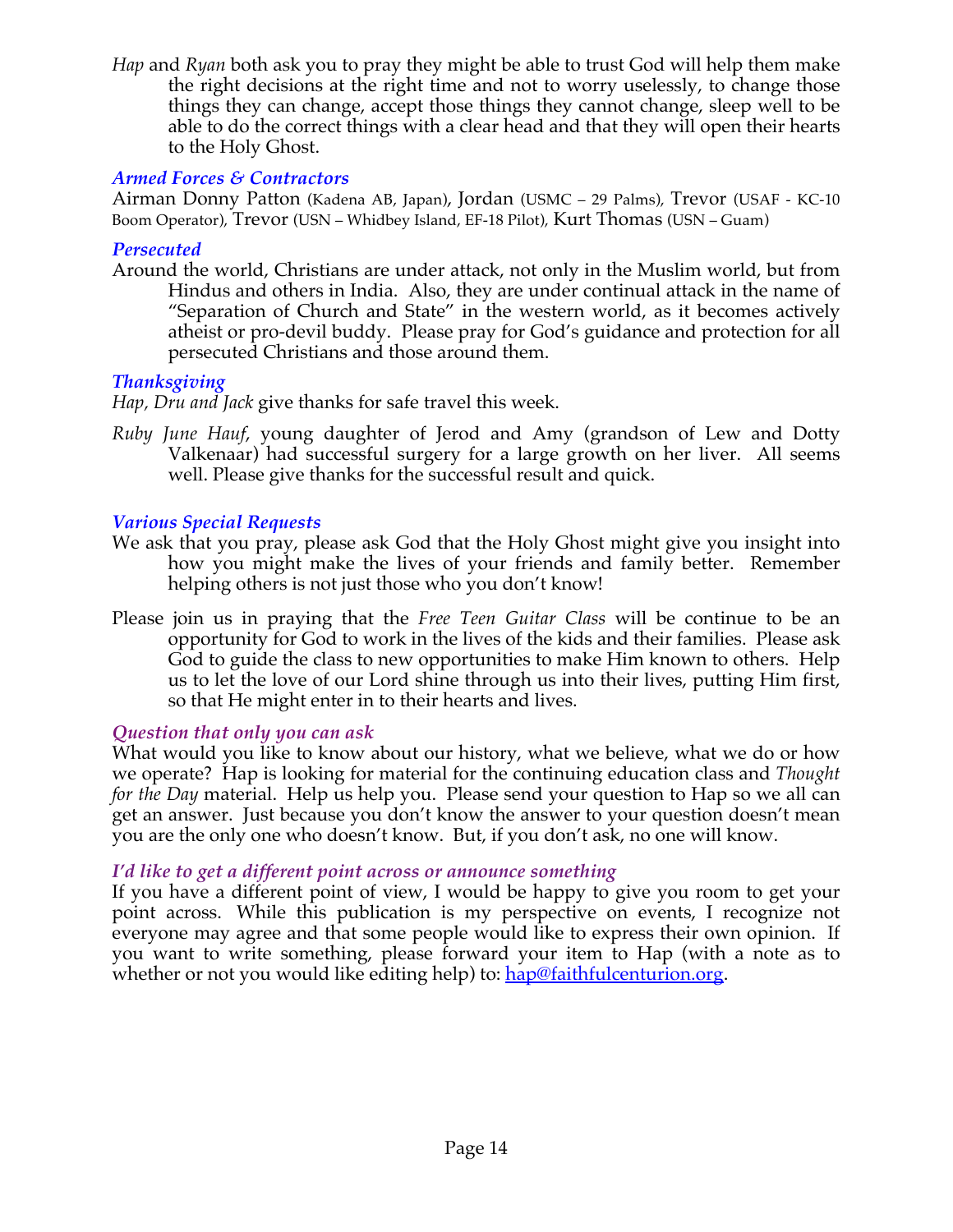*Hap* and *Ryan* both ask you to pray they might be able to trust God will help them make the right decisions at the right time and not to worry uselessly, to change those things they can change, accept those things they cannot change, sleep well to be able to do the correct things with a clear head and that they will open their hearts to the Holy Ghost.

# *Armed Forces & Contractors*

Airman Donny Patton (Kadena AB, Japan), Jordan (USMC – 29 Palms), Trevor (USAF - KC-10 Boom Operator), Trevor (USN – Whidbey Island, EF-18 Pilot), Kurt Thomas (USN – Guam)

### *Persecuted*

Around the world, Christians are under attack, not only in the Muslim world, but from Hindus and others in India. Also, they are under continual attack in the name of "Separation of Church and State" in the western world, as it becomes actively atheist or pro-devil buddy. Please pray for God's guidance and protection for all persecuted Christians and those around them.

# *Thanksgiving*

*Hap, Dru and Jack* give thanks for safe travel this week.

*Ruby June Hauf*, young daughter of Jerod and Amy (grandson of Lew and Dotty Valkenaar) had successful surgery for a large growth on her liver. All seems well. Please give thanks for the successful result and quick.

### *Various Special Requests*

- We ask that you pray, please ask God that the Holy Ghost might give you insight into how you might make the lives of your friends and family better. Remember helping others is not just those who you don't know!
- Please join us in praying that the *Free Teen Guitar Class* will be continue to be an opportunity for God to work in the lives of the kids and their families. Please ask God to guide the class to new opportunities to make Him known to others. Help us to let the love of our Lord shine through us into their lives, putting Him first, so that He might enter in to their hearts and lives.

### *Question that only you can ask*

What would you like to know about our history, what we believe, what we do or how we operate? Hap is looking for material for the continuing education class and *Thought for the Day* material. Help us help you. Please send your question to Hap so we all can get an answer. Just because you don't know the answer to your question doesn't mean you are the only one who doesn't know. But, if you don't ask, no one will know.

### *I'd like to get a different point across or announce something*

If you have a different point of view, I would be happy to give you room to get your point across. While this publication is my perspective on events, I recognize not everyone may agree and that some people would like to express their own opinion. If you want to write something, please forward your item to Hap (with a note as to whether or not you would like editing help) to: hap@faithfulcenturion.org.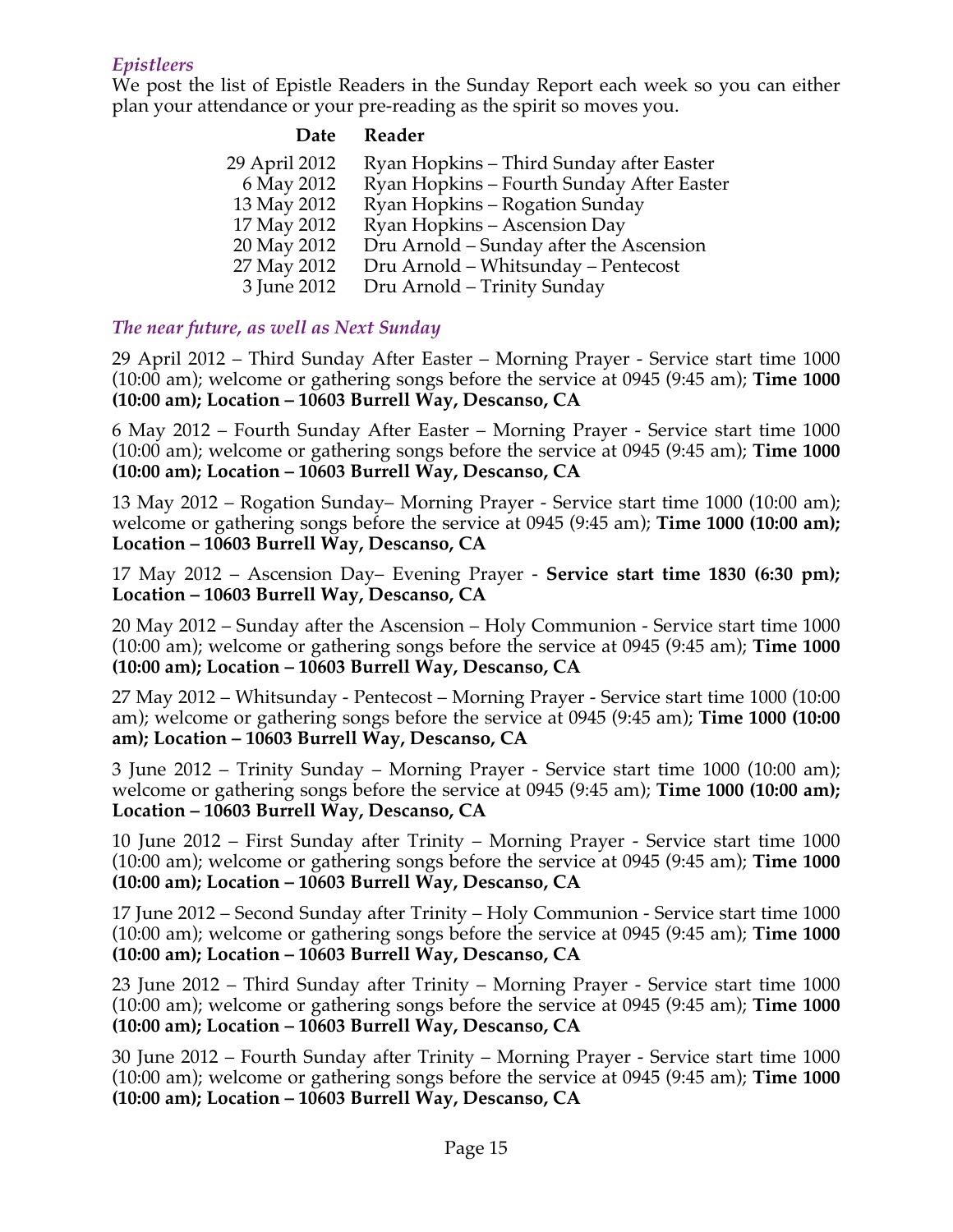# *Epistleers*

We post the list of Epistle Readers in the Sunday Report each week so you can either plan your attendance or your pre-reading as the spirit so moves you.

| Reader                                    |
|-------------------------------------------|
| Ryan Hopkins - Third Sunday after Easter  |
| Ryan Hopkins - Fourth Sunday After Easter |
| Ryan Hopkins - Rogation Sunday            |
| Ryan Hopkins – Ascension Day              |
| Dru Arnold – Sunday after the Ascension   |
| Dru Arnold - Whitsunday - Pentecost       |
| Dru Arnold - Trinity Sunday               |
|                                           |

# *The near future, as well as Next Sunday*

29 April 2012 – Third Sunday After Easter – Morning Prayer - Service start time 1000 (10:00 am); welcome or gathering songs before the service at 0945 (9:45 am); **Time 1000 (10:00 am); Location – 10603 Burrell Way, Descanso, CA**

6 May 2012 – Fourth Sunday After Easter – Morning Prayer - Service start time 1000 (10:00 am); welcome or gathering songs before the service at 0945 (9:45 am); **Time 1000 (10:00 am); Location – 10603 Burrell Way, Descanso, CA**

13 May 2012 – Rogation Sunday– Morning Prayer - Service start time 1000 (10:00 am); welcome or gathering songs before the service at 0945 (9:45 am); **Time 1000 (10:00 am); Location – 10603 Burrell Way, Descanso, CA**

17 May 2012 – Ascension Day– Evening Prayer - **Service start time 1830 (6:30 pm); Location – 10603 Burrell Way, Descanso, CA**

20 May 2012 – Sunday after the Ascension – Holy Communion - Service start time 1000 (10:00 am); welcome or gathering songs before the service at 0945 (9:45 am); **Time 1000 (10:00 am); Location – 10603 Burrell Way, Descanso, CA**

27 May 2012 – Whitsunday - Pentecost – Morning Prayer - Service start time 1000 (10:00 am); welcome or gathering songs before the service at 0945 (9:45 am); **Time 1000 (10:00 am); Location – 10603 Burrell Way, Descanso, CA**

3 June 2012 – Trinity Sunday – Morning Prayer - Service start time 1000 (10:00 am); welcome or gathering songs before the service at 0945 (9:45 am); **Time 1000 (10:00 am); Location – 10603 Burrell Way, Descanso, CA**

10 June 2012 – First Sunday after Trinity – Morning Prayer - Service start time 1000 (10:00 am); welcome or gathering songs before the service at 0945 (9:45 am); **Time 1000 (10:00 am); Location – 10603 Burrell Way, Descanso, CA**

17 June 2012 – Second Sunday after Trinity – Holy Communion - Service start time 1000 (10:00 am); welcome or gathering songs before the service at 0945 (9:45 am); **Time 1000 (10:00 am); Location – 10603 Burrell Way, Descanso, CA**

23 June 2012 – Third Sunday after Trinity – Morning Prayer - Service start time 1000 (10:00 am); welcome or gathering songs before the service at 0945 (9:45 am); **Time 1000 (10:00 am); Location – 10603 Burrell Way, Descanso, CA**

30 June 2012 – Fourth Sunday after Trinity – Morning Prayer - Service start time 1000 (10:00 am); welcome or gathering songs before the service at 0945 (9:45 am); **Time 1000 (10:00 am); Location – 10603 Burrell Way, Descanso, CA**